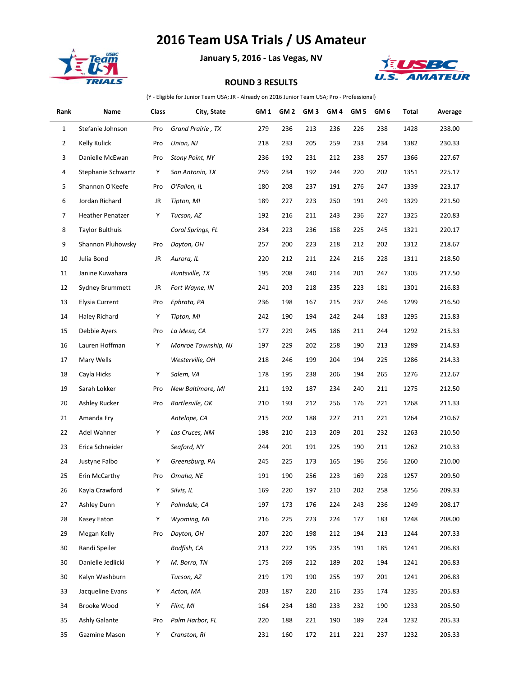## **2016 Team USA Trials / US Amateur**



**January 5, 2016 - Las Vegas, NV**



## **ROUND 3 RESULTS**

(Y - Eligible for Junior Team USA; JR - Already on 2016 Junior Team USA; Pro - Professional)

| Rank         | Name                    | Class | City, State         | GM <sub>1</sub> | GM <sub>2</sub> | GM <sub>3</sub> | GM <sub>4</sub> | GM <sub>5</sub> | GM 6 | Total | Average |
|--------------|-------------------------|-------|---------------------|-----------------|-----------------|-----------------|-----------------|-----------------|------|-------|---------|
| $\mathbf{1}$ | Stefanie Johnson        | Pro   | Grand Prairie, TX   | 279             | 236             | 213             | 236             | 226             | 238  | 1428  | 238.00  |
| 2            | Kelly Kulick            | Pro   | Union, NJ           | 218             | 233             | 205             | 259             | 233             | 234  | 1382  | 230.33  |
| 3            | Danielle McEwan         | Pro   | Stony Point, NY     | 236             | 192             | 231             | 212             | 238             | 257  | 1366  | 227.67  |
| 4            | Stephanie Schwartz      | Y     | San Antonio, TX     | 259             | 234             | 192             | 244             | 220             | 202  | 1351  | 225.17  |
| 5            | Shannon O'Keefe         | Pro   | O'Fallon, IL        | 180             | 208             | 237             | 191             | 276             | 247  | 1339  | 223.17  |
| 6            | Jordan Richard          | JR    | Tipton, MI          | 189             | 227             | 223             | 250             | 191             | 249  | 1329  | 221.50  |
| 7            | <b>Heather Penatzer</b> | Y     | Tucson, AZ          | 192             | 216             | 211             | 243             | 236             | 227  | 1325  | 220.83  |
| 8            | <b>Taylor Bulthuis</b>  |       | Coral Springs, FL   | 234             | 223             | 236             | 158             | 225             | 245  | 1321  | 220.17  |
| 9            | Shannon Pluhowsky       | Pro   | Dayton, OH          | 257             | 200             | 223             | 218             | 212             | 202  | 1312  | 218.67  |
| 10           | Julia Bond              | JR    | Aurora, IL          | 220             | 212             | 211             | 224             | 216             | 228  | 1311  | 218.50  |
| 11           | Janine Kuwahara         |       | Huntsville, TX      | 195             | 208             | 240             | 214             | 201             | 247  | 1305  | 217.50  |
| 12           | Sydney Brummett         | JR    | Fort Wayne, IN      | 241             | 203             | 218             | 235             | 223             | 181  | 1301  | 216.83  |
| 13           | Elysia Current          | Pro   | Ephrata, PA         | 236             | 198             | 167             | 215             | 237             | 246  | 1299  | 216.50  |
| 14           | Haley Richard           | Y     | Tipton, MI          | 242             | 190             | 194             | 242             | 244             | 183  | 1295  | 215.83  |
| 15           | Debbie Ayers            | Pro   | La Mesa, CA         | 177             | 229             | 245             | 186             | 211             | 244  | 1292  | 215.33  |
| 16           | Lauren Hoffman          | Y     | Monroe Township, NJ | 197             | 229             | 202             | 258             | 190             | 213  | 1289  | 214.83  |
| 17           | Mary Wells              |       | Westerville, OH     | 218             | 246             | 199             | 204             | 194             | 225  | 1286  | 214.33  |
| 18           | Cayla Hicks             | Y     | Salem, VA           | 178             | 195             | 238             | 206             | 194             | 265  | 1276  | 212.67  |
| 19           | Sarah Lokker            | Pro   | New Baltimore, MI   | 211             | 192             | 187             | 234             | 240             | 211  | 1275  | 212.50  |
| 20           | Ashley Rucker           | Pro   | Bartlesvile, OK     | 210             | 193             | 212             | 256             | 176             | 221  | 1268  | 211.33  |
| 21           | Amanda Fry              |       | Antelope, CA        | 215             | 202             | 188             | 227             | 211             | 221  | 1264  | 210.67  |
| 22           | Adel Wahner             | Y     | Las Cruces, NM      | 198             | 210             | 213             | 209             | 201             | 232  | 1263  | 210.50  |
| 23           | Erica Schneider         |       | Seaford, NY         | 244             | 201             | 191             | 225             | 190             | 211  | 1262  | 210.33  |
| 24           | Justyne Falbo           | Y     | Greensburg, PA      | 245             | 225             | 173             | 165             | 196             | 256  | 1260  | 210.00  |
| 25           | Erin McCarthy           | Pro   | Omaha, NE           | 191             | 190             | 256             | 223             | 169             | 228  | 1257  | 209.50  |
| 26           | Kayla Crawford          | Υ     | Silvis, IL          | 169             | 220             | 197             | 210             | 202             | 258  | 1256  | 209.33  |
| 27           | Ashley Dunn             | Υ     | Palmdale, CA        | 197             | 173             | 176             | 224             | 243             | 236  | 1249  | 208.17  |
| 28           | Kasey Eaton             | Y     | Wyoming, MI         | 216             | 225             | 223             | 224             | 177             | 183  | 1248  | 208.00  |
| 29           | Megan Kelly             | Pro   | Dayton, OH          | 207             | 220             | 198             | 212             | 194             | 213  | 1244  | 207.33  |
| 30           | Randi Speiler           |       | Bodfish, CA         | 213             | 222             | 195             | 235             | 191             | 185  | 1241  | 206.83  |
| 30           | Danielle Jedlicki       | Y     | M. Borro, TN        | 175             | 269             | 212             | 189             | 202             | 194  | 1241  | 206.83  |
| 30           | Kalyn Washburn          |       | Tucson, AZ          | 219             | 179             | 190             | 255             | 197             | 201  | 1241  | 206.83  |
| 33           | Jacqueline Evans        | Y     | Acton, MA           | 203             | 187             | 220             | 216             | 235             | 174  | 1235  | 205.83  |
| 34           | Brooke Wood             | Y     | Flint, MI           | 164             | 234             | 180             | 233             | 232             | 190  | 1233  | 205.50  |
| 35           | Ashly Galante           | Pro   | Palm Harbor, FL     | 220             | 188             | 221             | 190             | 189             | 224  | 1232  | 205.33  |
| 35           | Gazmine Mason           | Y     | Cranston, RI        | 231             | 160             | 172             | 211             | 221             | 237  | 1232  | 205.33  |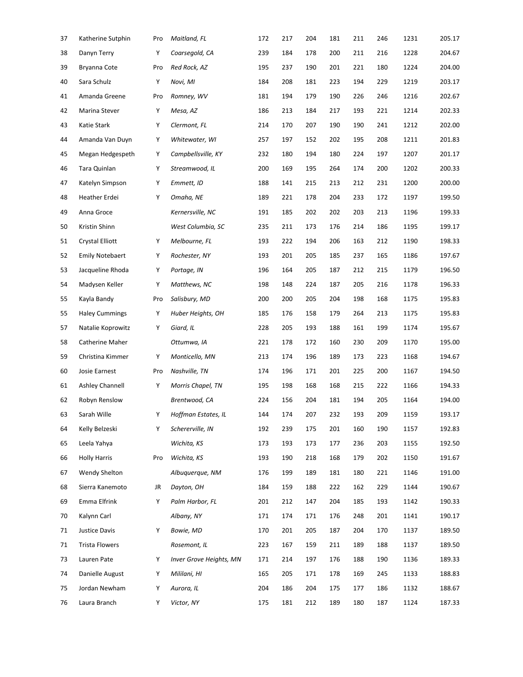| 37 | Katherine Sutphin      | Pro | Maitland, FL            | 172 | 217 | 204 | 181 | 211 | 246 | 1231 | 205.17 |
|----|------------------------|-----|-------------------------|-----|-----|-----|-----|-----|-----|------|--------|
| 38 | Danyn Terry            | Υ   | Coarsegold, CA          | 239 | 184 | 178 | 200 | 211 | 216 | 1228 | 204.67 |
| 39 | Bryanna Cote           | Pro | Red Rock, AZ            | 195 | 237 | 190 | 201 | 221 | 180 | 1224 | 204.00 |
| 40 | Sara Schulz            | Υ   | Novi, MI                | 184 | 208 | 181 | 223 | 194 | 229 | 1219 | 203.17 |
| 41 | Amanda Greene          | Pro | Romney, WV              | 181 | 194 | 179 | 190 | 226 | 246 | 1216 | 202.67 |
| 42 | Marina Stever          | Υ   | Mesa, AZ                | 186 | 213 | 184 | 217 | 193 | 221 | 1214 | 202.33 |
| 43 | Katie Stark            | Υ   | Clermont, FL            | 214 | 170 | 207 | 190 | 190 | 241 | 1212 | 202.00 |
| 44 | Amanda Van Duyn        | Υ   | Whitewater, WI          | 257 | 197 | 152 | 202 | 195 | 208 | 1211 | 201.83 |
| 45 | Megan Hedgespeth       | Υ   | Campbellsville, KY      | 232 | 180 | 194 | 180 | 224 | 197 | 1207 | 201.17 |
| 46 | Tara Quinlan           | Υ   | Streamwood, IL          | 200 | 169 | 195 | 264 | 174 | 200 | 1202 | 200.33 |
| 47 | Katelyn Simpson        | Υ   | Emmett, ID              | 188 | 141 | 215 | 213 | 212 | 231 | 1200 | 200.00 |
| 48 | Heather Erdei          | Υ   | Omaha, NE               | 189 | 221 | 178 | 204 | 233 | 172 | 1197 | 199.50 |
| 49 | Anna Groce             |     | Kernersville, NC        | 191 | 185 | 202 | 202 | 203 | 213 | 1196 | 199.33 |
| 50 | Kristin Shinn          |     | West Columbia, SC       | 235 | 211 | 173 | 176 | 214 | 186 | 1195 | 199.17 |
| 51 | <b>Crystal Elliott</b> | Υ   | Melbourne, FL           | 193 | 222 | 194 | 206 | 163 | 212 | 1190 | 198.33 |
| 52 | <b>Emily Notebaert</b> | Υ   | Rochester, NY           | 193 | 201 | 205 | 185 | 237 | 165 | 1186 | 197.67 |
| 53 | Jacqueline Rhoda       | Υ   | Portage, IN             | 196 | 164 | 205 | 187 | 212 | 215 | 1179 | 196.50 |
| 54 | Madysen Keller         | Υ   | Matthews, NC            | 198 | 148 | 224 | 187 | 205 | 216 | 1178 | 196.33 |
| 55 | Kayla Bandy            | Pro | Salisbury, MD           | 200 | 200 | 205 | 204 | 198 | 168 | 1175 | 195.83 |
| 55 | <b>Haley Cummings</b>  | Υ   | Huber Heights, OH       | 185 | 176 | 158 | 179 | 264 | 213 | 1175 | 195.83 |
| 57 | Natalie Koprowitz      | Υ   | Giard, IL               | 228 | 205 | 193 | 188 | 161 | 199 | 1174 | 195.67 |
| 58 | Catherine Maher        |     | Ottumwa, IA             | 221 | 178 | 172 | 160 | 230 | 209 | 1170 | 195.00 |
| 59 | Christina Kimmer       | Υ   | Monticello, MN          | 213 | 174 | 196 | 189 | 173 | 223 | 1168 | 194.67 |
| 60 | Josie Earnest          | Pro | Nashville, TN           | 174 | 196 | 171 | 201 | 225 | 200 | 1167 | 194.50 |
| 61 | Ashley Channell        | Υ   | Morris Chapel, TN       | 195 | 198 | 168 | 168 | 215 | 222 | 1166 | 194.33 |
| 62 | Robyn Renslow          |     | Brentwood, CA           | 224 | 156 | 204 | 181 | 194 | 205 | 1164 | 194.00 |
| 63 | Sarah Wille            | Υ   | Hoffman Estates, IL     | 144 | 174 | 207 | 232 | 193 | 209 | 1159 | 193.17 |
| 64 | Kelly Belzeski         | Υ   | Schererville, IN        | 192 | 239 | 175 | 201 | 160 | 190 | 1157 | 192.83 |
| 65 | Leela Yahya            |     | Wichita, KS             | 173 | 193 | 173 | 177 | 236 | 203 | 1155 | 192.50 |
| 66 | <b>Holly Harris</b>    | Pro | Wichita, KS             | 193 | 190 | 218 | 168 | 179 | 202 | 1150 | 191.67 |
| 67 | Wendy Shelton          |     | Albuquerque, NM         | 176 | 199 | 189 | 181 | 180 | 221 | 1146 | 191.00 |
| 68 | Sierra Kanemoto        | JR  | Dayton, OH              | 184 | 159 | 188 | 222 | 162 | 229 | 1144 | 190.67 |
| 69 | Emma Elfrink           | Υ   | Palm Harbor, FL         | 201 | 212 | 147 | 204 | 185 | 193 | 1142 | 190.33 |
| 70 | Kalynn Carl            |     | Albany, NY              | 171 | 174 | 171 | 176 | 248 | 201 | 1141 | 190.17 |
| 71 | Justice Davis          | Υ   | Bowie, MD               | 170 | 201 | 205 | 187 | 204 | 170 | 1137 | 189.50 |
| 71 | <b>Trista Flowers</b>  |     | Rosemont, IL            | 223 | 167 | 159 | 211 | 189 | 188 | 1137 | 189.50 |
| 73 | Lauren Pate            | Υ   | Inver Grove Heights, MN | 171 | 214 | 197 | 176 | 188 | 190 | 1136 | 189.33 |
| 74 | Danielle August        | Υ   | Mililani, HI            | 165 | 205 | 171 | 178 | 169 | 245 | 1133 | 188.83 |
| 75 | Jordan Newham          | Υ   | Aurora, IL              | 204 | 186 | 204 | 175 | 177 | 186 | 1132 | 188.67 |
| 76 | Laura Branch           | Υ   | Victor, NY              | 175 | 181 | 212 | 189 | 180 | 187 | 1124 | 187.33 |